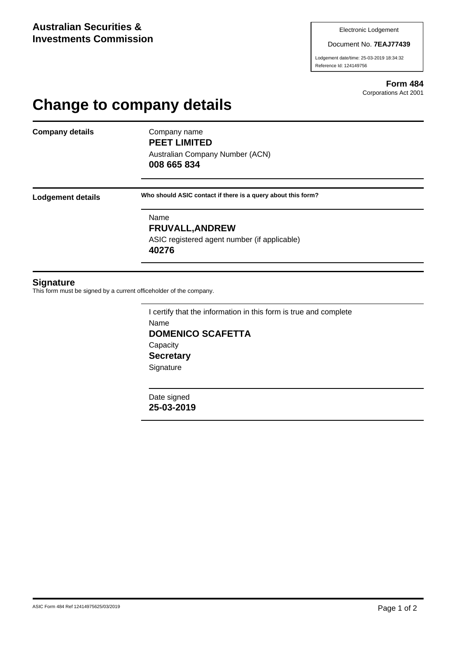Document No. **7EAJ77439**

Lodgement date/time: 25-03-2019 18:34:32 Reference Id: 124149756

> **Form 484** Corporations Act 2001

## **Change to company details**

**Company details** Company name

**PEET LIMITED** Australian Company Number (ACN)

**008 665 834**

**Lodgement details Who should ASIC contact if there is a query about this form?**

Name **FRUVALL,ANDREW** ASIC registered agent number (if applicable) **40276**

## **Signature**

This form must be signed by a current officeholder of the company.

I certify that the information in this form is true and complete Name **DOMENICO SCAFETTA Capacity Secretary Signature** 

Date signed **25-03-2019**